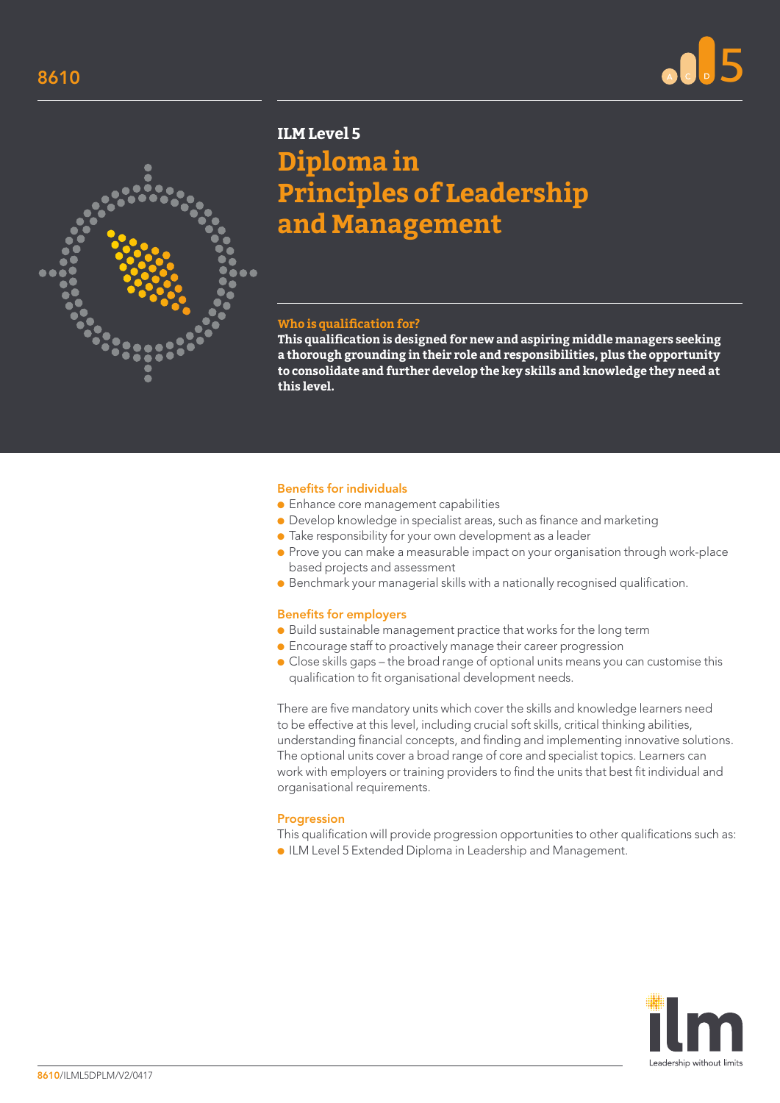



# **ILM Level 5**

**Diploma in Principles of Leadership and Management**

#### **Who is qualification for?**

**This qualification is designed for new and aspiring middle managers seeking a thorough grounding in their role and responsibilities, plus the opportunity to consolidate and further develop the key skills and knowledge they need at this level.**

#### Benefits for individuals

- Enhance core management capabilities
- Develop knowledge in specialist areas, such as finance and marketing
- Take responsibility for your own development as a leader
- Prove you can make a measurable impact on your organisation through work-place based projects and assessment
- Benchmark your managerial skills with a nationally recognised qualification.

## Benefits for employers

- Build sustainable management practice that works for the long term
- Encourage staff to proactively manage their career progression
- Close skills gaps the broad range of optional units means you can customise this qualification to fit organisational development needs.

There are five mandatory units which cover the skills and knowledge learners need to be effective at this level, including crucial soft skills, critical thinking abilities, understanding financial concepts, and finding and implementing innovative solutions. The optional units cover a broad range of core and specialist topics. Learners can work with employers or training providers to find the units that best fit individual and organisational requirements.

## Progression

This qualification will provide progression opportunities to other qualifications such as: ● ILM Level 5 Extended Diploma in Leadership and Management.

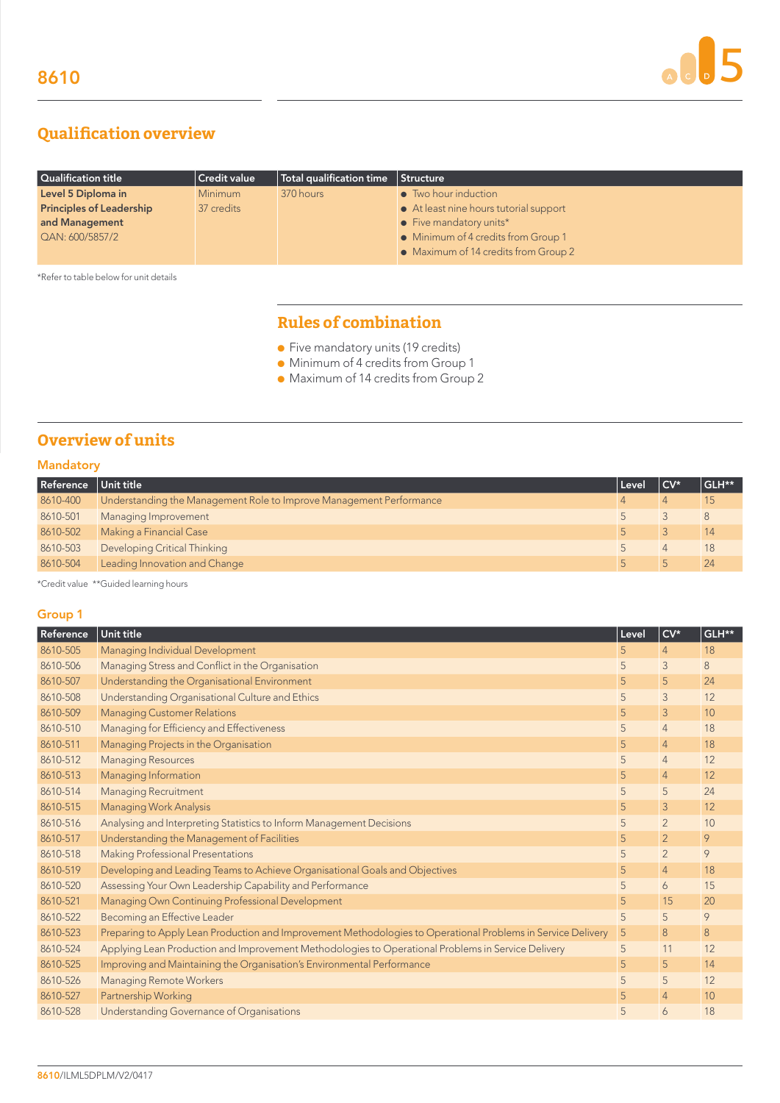# **Qualification overview**

| Qualification title             | $ $ Credit value | $\parallel$ Total qualification time $\parallel$ | Structure                              |
|---------------------------------|------------------|--------------------------------------------------|----------------------------------------|
| Level 5 Diploma in              | <b>Minimum</b>   | 370 hours                                        | • Two hour induction                   |
| <b>Principles of Leadership</b> | 37 credits       |                                                  | • At least nine hours tutorial support |
| and Management                  |                  |                                                  | $\bullet$ Five mandatory units*        |
| QAN: 600/5857/2                 |                  |                                                  | • Minimum of 4 credits from Group 1    |
|                                 |                  |                                                  | • Maximum of 14 credits from Group 2   |

\*Refer to table below for unit details

# **Rules of combination**

- Five mandatory units (19 credits)
- Minimum of 4 credits from Group 1
- Maximum of 14 credits from Group 2

# **Overview of units**

# Mandatory

| Reference | Unit title                                                          | Level | ∣CV* | GLH** |
|-----------|---------------------------------------------------------------------|-------|------|-------|
| 8610-400  | Understanding the Management Role to Improve Management Performance |       |      |       |
| 8610-501  | Managing Improvement                                                |       |      |       |
| 8610-502  | Making a Financial Case                                             |       |      | 14    |
| 8610-503  | Developing Critical Thinking                                        |       |      | 18    |
| 8610-504  | Leading Innovation and Change                                       |       |      | 24    |

\*Credit value \*\*Guided learning hours

# Group 1

| Reference | Unit title                                                                                                   | Level | $CV*$          | GLH** |
|-----------|--------------------------------------------------------------------------------------------------------------|-------|----------------|-------|
| 8610-505  | Managing Individual Development                                                                              | 5     | $\overline{4}$ | 18    |
| 8610-506  | Managing Stress and Conflict in the Organisation                                                             | 5     | 3              | 8     |
| 8610-507  | Understanding the Organisational Environment                                                                 | 5     | 5              | 24    |
| 8610-508  | Understanding Organisational Culture and Ethics                                                              | 5     | 3              | 12    |
| 8610-509  | <b>Managing Customer Relations</b>                                                                           | 5     | $\mathcal{S}$  | 10    |
| 8610-510  | Managing for Efficiency and Effectiveness                                                                    | 5     | $\overline{4}$ | 18    |
| 8610-511  | Managing Projects in the Organisation                                                                        | 5     | $\overline{4}$ | 18    |
| 8610-512  | <b>Managing Resources</b>                                                                                    | 5     | $\overline{4}$ | 12    |
| 8610-513  | Managing Information                                                                                         | 5     | $\overline{4}$ | 12    |
| 8610-514  | <b>Managing Recruitment</b>                                                                                  | 5     | 5              | 24    |
| 8610-515  | <b>Managing Work Analysis</b>                                                                                | 5     | $\mathcal{S}$  | 12    |
| 8610-516  | Analysing and Interpreting Statistics to Inform Management Decisions                                         | 5     | $\overline{2}$ | 10    |
| 8610-517  | Understanding the Management of Facilities                                                                   | 5     | $\overline{2}$ | 9     |
| 8610-518  | Making Professional Presentations                                                                            | 5     | $\overline{2}$ | 9     |
| 8610-519  | Developing and Leading Teams to Achieve Organisational Goals and Objectives                                  | 5     | $\overline{4}$ | 18    |
| 8610-520  | Assessing Your Own Leadership Capability and Performance                                                     | 5     | 6              | 15    |
| 8610-521  | Managing Own Continuing Professional Development                                                             | 5     | 15             | 20    |
| 8610-522  | Becoming an Effective Leader                                                                                 | 5     | 5              | 9     |
| 8610-523  | Preparing to Apply Lean Production and Improvement Methodologies to Operational Problems in Service Delivery | 5     | 8              | 8     |
| 8610-524  | Applying Lean Production and Improvement Methodologies to Operational Problems in Service Delivery           | 5     | 11             | 12    |
| 8610-525  | Improving and Maintaining the Organisation's Environmental Performance                                       | 5     | 5              | 14    |
| 8610-526  | <b>Managing Remote Workers</b>                                                                               | 5     | 5              | 12    |
| 8610-527  | Partnership Working                                                                                          | 5     | $\overline{4}$ | 10    |
| 8610-528  | Understanding Governance of Organisations                                                                    | 5     | 6              | 18    |